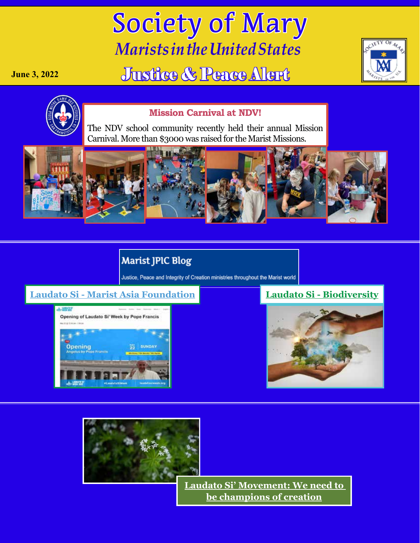# Society of Mary *Marists in the United States*

## Justice & Peace Alert





**June 3, 2022**

#### **Mission Carnival at NDV!**

The NDV school community recently held their annual Mi[s](https://www.marist.com/News-Detail?pk=1473615)sion Carnival. More than \$3000 was raised for the Marist Missions.



### **Marist JPIC Blog**

Justice, Peace and Integrity of Creation ministries throughout the Marist world

#### **[Laudato Si - Marist Asia Foundation](https://jpicblog.maristsm.org/laudato-si-marist-asia-foundation) [Laudato Si - B](https://jpicblog.maristsm.org/laudato-si-biodiversity)iodiversity**







**[Laudato Si' Movement: We need to](https://www.vaticannews.va/en/church/news/2022-05/laudato-si-movement-we-need-to-be-champions-of-creation.html?fbclid=IwAR2gJXMP7RLDh4YoZINZlbs3SDXjdVjxlFgq7pmDBfvtAkpnkJzp4D0WGUU)  [be champions of creation](https://www.vaticannews.va/en/church/news/2022-05/laudato-si-movement-we-need-to-be-champions-of-creation.html?fbclid=IwAR2gJXMP7RLDh4YoZINZlbs3SDXjdVjxlFgq7pmDBfvtAkpnkJzp4D0WGUU)**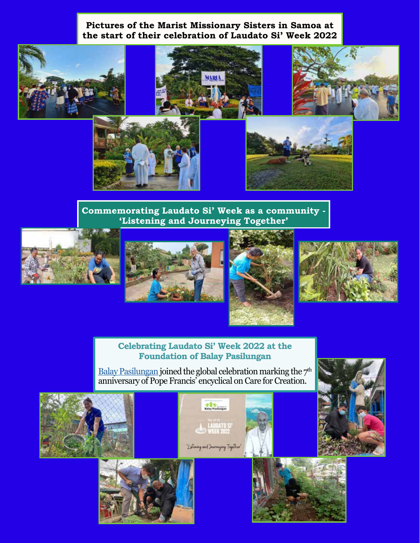#### **Pictures of the Marist Missionary Sisters in Samoa at the start of their celebration of Laudato Si' Week 2022**

**HARL** 









**Commemorating Laudato Si' Week as a community - 'Listening and Journeying Together'**









#### **Celebrating Laudato Si' Week 2022 at the Foundation of Balay Pasilungan**

[Balay Pasilungan](https://www.facebook.com/foundationofbalaypasilungan/) joined the global celebration marking the  $7<sup>th</sup>$ anniversary of Pope Francis' encyclical on Care for Creation.

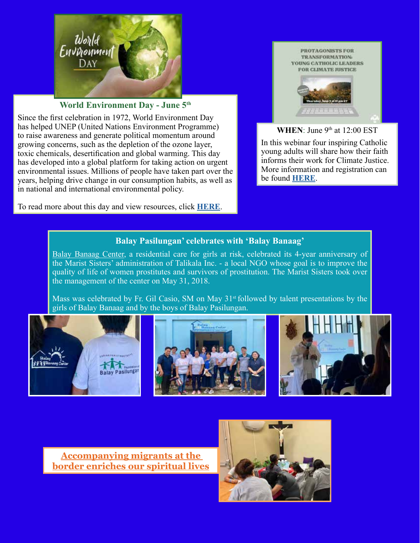

#### **World Environment Day - June 5th**

Since the first celebration in 1972, World Environment Day has helped UNEP (United Nations Environment Programme) to raise awareness and generate political momentum around growing concerns, such as the depletion of the ozone layer, toxic chemicals, desertification and global warming. This day has developed into a global platform for taking action on urgent environmental issues. Millions of people have taken part over the years, helping drive change in our consumption habits, as well as in national and international environmental policy.

To read more about this day and view resources, click **[HERE](https://www.un.org/en/observances/environment-day)**.



#### WHEN: June 9<sup>th</sup> at 12:00 EST

In this webinar four inspiring Catholic young adults will share how their faith informs their work for Climate Justice. More information and registration can be found **[HERE](https://us02web.zoom.us/webinar/register/WN_Z9MJffFNSxiuJWYKvmsb1g?fbclid=IwAR1hLPEvGNF4f7RtzvwAP20OV08iFaJSJ34-QSemKt6kwqnPseU2uAHLupw )**.

#### **Balay Pasilungan' celebrates with 'Balay Banaag'**

[Balay Banaag Center,](https://www.facebook.com/Balay-Banaag-Center-204490993514543/) a residential care for girls at risk, celebrated its 4-year anniversary of the Marist Sisters' administration of Talikala Inc. - a local NGO whose goal is to improve the quality of life of women prostitutes and survivors of prostitution. The Marist Sisters took over the management of the center on May 31, 2018.

Mass was celebrated by Fr. Gil Casio, SM on May 31<sup>st</sup> followed by talent presentations by the girls of Balay Banaag and by the boys of Balay Pasilungan.



**[Accompanying migrants at the](https://www.ncronline.org/news/accompanying-migrants-border-enriches-our-spiritual-lives?fbclid=IwAR2Rz1r2sQiwIENdmH6l_O4vb9KwSENBiPtrH02K9Uz8by0iOIg4VOv0Z4g )  [border enriches our spiritual lives](https://www.ncronline.org/news/accompanying-migrants-border-enriches-our-spiritual-lives?fbclid=IwAR2Rz1r2sQiwIENdmH6l_O4vb9KwSENBiPtrH02K9Uz8by0iOIg4VOv0Z4g )**

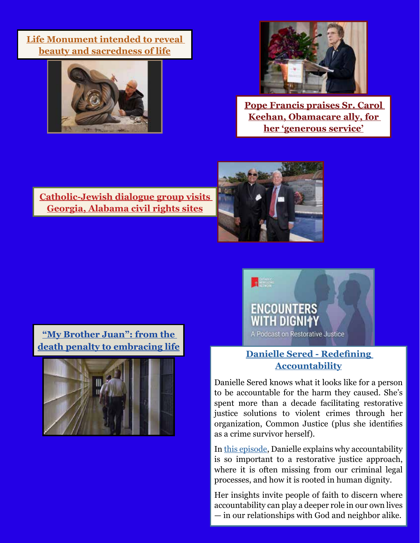**[Life Monument intended to reveal](https://www.vaticannews.va/en/world/news/2022-05/life-monument-intended-to-reveal-beauty-and-sacredness-of-life.html?fbclid=IwAR165YPl9g7Cxm5B66Hcccq8xvdVF-L6F78wPmzOpn9533XSHPKj_zC5wAs )  [beauty and sacredness of life](https://www.vaticannews.va/en/world/news/2022-05/life-monument-intended-to-reveal-beauty-and-sacredness-of-life.html?fbclid=IwAR165YPl9g7Cxm5B66Hcccq8xvdVF-L6F78wPmzOpn9533XSHPKj_zC5wAs )**





**[Pope Francis praises Sr. Carol](https://www.ncronline.org/news/ministry/news/pope-francis-praises-sr-carol-keehan-obamacare-ally-her-generous-service?fbclid=IwAR1xh72TJGLpJKQjAZjSDitOXYmqhqxkONdJdhqNkoVsZiNunoRDK1NhvFI)  [Keehan, Obamacare ally, for](https://www.ncronline.org/news/ministry/news/pope-francis-praises-sr-carol-keehan-obamacare-ally-her-generous-service?fbclid=IwAR1xh72TJGLpJKQjAZjSDitOXYmqhqxkONdJdhqNkoVsZiNunoRDK1NhvFI)  [her 'generous service'](https://www.ncronline.org/news/ministry/news/pope-francis-praises-sr-carol-keehan-obamacare-ally-her-generous-service?fbclid=IwAR1xh72TJGLpJKQjAZjSDitOXYmqhqxkONdJdhqNkoVsZiNunoRDK1NhvFI)**

**[Catholic-Jewish dialogue group visits](https://cathstan.org/news/us-world/catholic-jewish-dialogue-group-visits-georgia-alabama-civil-rights-sites?fbclid=IwAR29aROJx-YCPVBzCizNof_8KeJi1y9p_-DhJNRluX9fywjbFKNoRAi3y-4)  [Georgia, Alabama civil rights sites](https://cathstan.org/news/us-world/catholic-jewish-dialogue-group-visits-georgia-alabama-civil-rights-sites?fbclid=IwAR29aROJx-YCPVBzCizNof_8KeJi1y9p_-DhJNRluX9fywjbFKNoRAi3y-4)**



**["My Brother Juan": from the](https://www.vaticannews.va/en/world/news/2022-05/my-brother-juan-from-the-death-penalty-to-embracing-life.html?fbclid=IwAR3YWb0dc8gtuCmbjRvqJQL0YafnJopgq4BPh1VuN-hWTcLANAPOmxo3dNE)  [death penalty to embracing life](https://www.vaticannews.va/en/world/news/2022-05/my-brother-juan-from-the-death-penalty-to-embracing-life.html?fbclid=IwAR3YWb0dc8gtuCmbjRvqJQL0YafnJopgq4BPh1VuN-hWTcLANAPOmxo3dNE)**





#### **[Danielle Sered - Redefining](https://encounters-with-dignity.captivate.fm/episode/danielle-sered-redefining-accountability?fbclid=IwAR3UANa_NyIK67B13Fe18GSV5dhYkEbN4v2uSS3zlbgTxfXCoHZMwkRCPs4)  [Accountability](https://encounters-with-dignity.captivate.fm/episode/danielle-sered-redefining-accountability?fbclid=IwAR3UANa_NyIK67B13Fe18GSV5dhYkEbN4v2uSS3zlbgTxfXCoHZMwkRCPs4)**

Danielle Sered knows what it looks like for a person to be accountable for the harm they caused. She's spent more than a decade facilitating restorative justice solutions to violent crimes through her organization, Common Justice (plus she identifies as a crime survivor herself).

In [this episode,](https://encounters-with-dignity.captivate.fm/episode/danielle-sered-redefining-accountability?fbclid=IwAR3UANa_NyIK67B13Fe18GSV5dhYkEbN4v2uSS3zlbgTxfXCoHZMwkRCPs4) Danielle explains why accountability is so important to a restorative justice approach, where it is often missing from our criminal legal processes, and how it is rooted in human dignity.

Her insights invite people of faith to discern where accountability can play a deeper role in our own lives — in our relationships with God and neighbor alike.